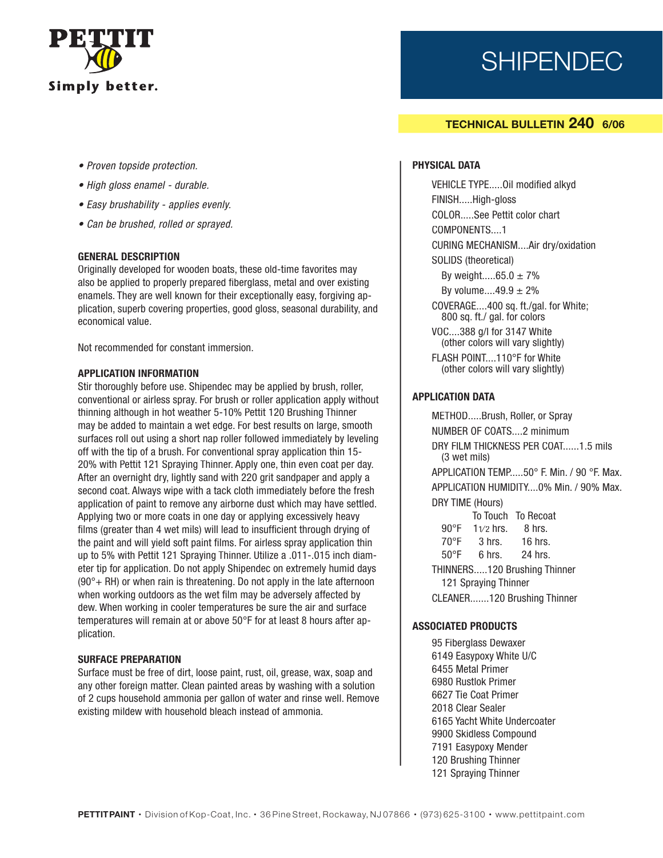

# SHIPENDEC

# **TECHNICAL BULLETIN 240 6/06**

- Proven topside protection.
- High gloss enamel durable.
- Easy brushability applies evenly.
- Can be brushed, rolled or sprayed.

#### **GENERAL DESCRIPTION**

Originally developed for wooden boats, these old-time favorites may also be applied to properly prepared fiberglass, metal and over existing enamels. They are well known for their exceptionally easy, forgiving application, superb covering properties, good gloss, seasonal durability, and economical value.

Not recommended for constant immersion.

#### **APPLICATION INFORMATION**

Stir thoroughly before use. Shipendec may be applied by brush, roller, conventional or airless spray. For brush or roller application apply without thinning although in hot weather 5-10% Pettit 120 Brushing Thinner may be added to maintain a wet edge. For best results on large, smooth surfaces roll out using a short nap roller followed immediately by leveling off with the tip of a brush. For conventional spray application thin 15- 20% with Pettit 121 Spraying Thinner. Apply one, thin even coat per day. After an overnight dry, lightly sand with 220 grit sandpaper and apply a second coat. Always wipe with a tack cloth immediately before the fresh application of paint to remove any airborne dust which may have settled. Applying two or more coats in one day or applying excessively heavy films (greater than 4 wet mils) will lead to insufficient through drying of the paint and will yield soft paint films. For airless spray application thin up to 5% with Pettit 121 Spraying Thinner. Utilize a .011-.015 inch diameter tip for application. Do not apply Shipendec on extremely humid days  $(90^\circ + \text{RH})$  or when rain is threatening. Do not apply in the late afternoon when working outdoors as the wet film may be adversely affected by dew. When working in cooler temperatures be sure the air and surface temperatures will remain at or above 50°F for at least 8 hours after application.

#### **SURFACE PREPARATION**

Surface must be free of dirt, loose paint, rust, oil, grease, wax, soap and any other foreign matter. Clean painted areas by washing with a solution of 2 cups household ammonia per gallon of water and rinse well. Remove existing mildew with household bleach instead of ammonia.

#### **PHYSICAL DATA**

VEHICLE TYPE..... Oil modified alkyd FINISH.....High-gloss COLOR.....See Pettit color chart COMPONENTS....1 CURING MECHANISM....Air dry/oxidation SOLIDS (theoretical)

By weight..... $65.0 \pm 7\%$ 

By volume.... $49.9 \pm 2\%$ 

COVERAGE....400 sq. ft./gal. for White; 800 sq. ft./ gal. for colors

VOC....388 g/l for 3147 White (other colors will vary slightly)

FLASH POINT....110°F for White (other colors will vary slightly)

#### **APPLICATION DATA**

METHOD.....Brush, Roller, or Spray NUMBER OF COATS....2 minimum DRY FILM THICKNESS PER COAT......1.5 mils (3 wet mils) APPLICATION TEMP.....50° F. Min. / 90 °F. Max. APPLICATION HUMIDITY....0% Min. / 90% Max. DRY TIME (Hours) To Touch To Recoat  $90^{\circ}$ F 1 $\frac{1}{2}$  hrs. 8 hrs. 70°F 3 hrs. 16 hrs. 50°F 6 hrs. 24 hrs. THINNERS.....120 Brushing Thinner 121 Spraying Thinner

CLEANER.......120 Brushing Thinner

### **ASSOCIATED PRODUCTS**

95 Fiberglass Dewaxer 6149 Easypoxy White U/C 6455 Metal Primer 6980 Rustlok Primer 6627 Tie Coat Primer 2018 Clear Sealer 6165 Yacht White Undercoater 9900 Skidless Compound 7191 Easypoxy Mender 120 Brushing Thinner 121 Spraying Thinner